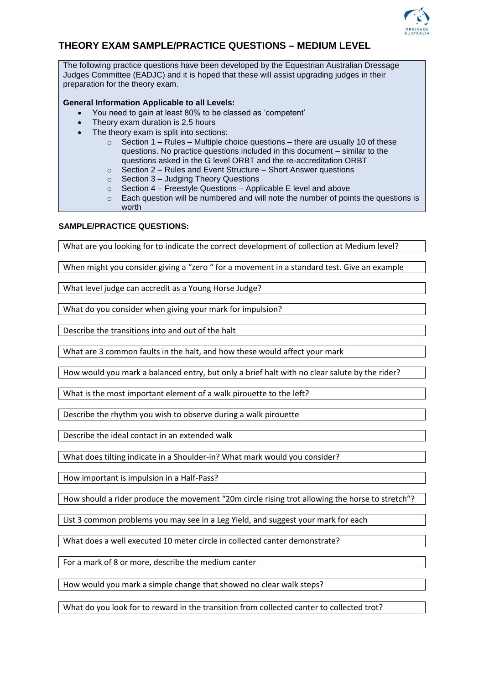

## **THEORY EXAM SAMPLE/PRACTICE QUESTIONS – MEDIUM LEVEL**

The following practice questions have been developed by the Equestrian Australian Dressage Judges Committee (EADJC) and it is hoped that these will assist upgrading judges in their preparation for the theory exam.

## **General Information Applicable to all Levels:**

- You need to gain at least 80% to be classed as 'competent'
- Theory exam duration is 2.5 hours
- The theory exam is split into sections:
	- $\circ$  Section 1 Rules Multiple choice questions there are usually 10 of these questions. No practice questions included in this document – similar to the questions asked in the G level ORBT and the re-accreditation ORBT
	- o Section 2 Rules and Event Structure Short Answer questions
	- o Section 3 Judging Theory Questions
	- $\circ$  Section 4 Freestyle Questions Applicable E level and above
	- $\circ$  Each question will be numbered and will note the number of points the questions is worth

## **SAMPLE/PRACTICE QUESTIONS:**

What are you looking for to indicate the correct development of collection at Medium level?

When might you consider giving a "zero " for a movement in a standard test. Give an example

What level judge can accredit as a Young Horse Judge?

What do you consider when giving your mark for impulsion?

Describe the transitions into and out of the halt

What are 3 common faults in the halt, and how these would affect your mark

How would you mark a balanced entry, but only a brief halt with no clear salute by the rider?

What is the most important element of a walk pirouette to the left?

Describe the rhythm you wish to observe during a walk pirouette

Describe the ideal contact in an extended walk

What does tilting indicate in a Shoulder-in? What mark would you consider?

How important is impulsion in a Half-Pass?

How should a rider produce the movement "20m circle rising trot allowing the horse to stretch"?

List 3 common problems you may see in a Leg Yield, and suggest your mark for each

What does a well executed 10 meter circle in collected canter demonstrate?

For a mark of 8 or more, describe the medium canter

How would you mark a simple change that showed no clear walk steps?

What do you look for to reward in the transition from collected canter to collected trot?